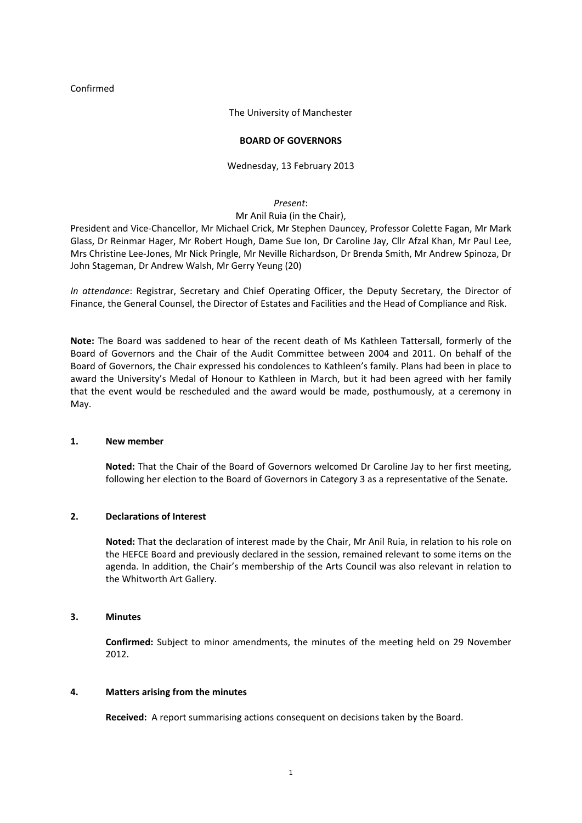#### Confirmed

#### The University of Manchester

#### **BOARD OF GOVERNORS**

#### Wednesday, 13 February 2013

#### *Present*:

#### Mr Anil Ruia (in the Chair),

President and Vice‐Chancellor, Mr Michael Crick, Mr Stephen Dauncey, Professor Colette Fagan, Mr Mark Glass, Dr Reinmar Hager, Mr Robert Hough, Dame Sue Ion, Dr Caroline Jay, Cllr Afzal Khan, Mr Paul Lee, Mrs Christine Lee‐Jones, Mr Nick Pringle, Mr Neville Richardson, Dr Brenda Smith, Mr Andrew Spinoza, Dr John Stageman, Dr Andrew Walsh, Mr Gerry Yeung (20)

*In attendance*: Registrar, Secretary and Chief Operating Officer, the Deputy Secretary, the Director of Finance, the General Counsel, the Director of Estates and Facilities and the Head of Compliance and Risk.

**Note:** The Board was saddened to hear of the recent death of Ms Kathleen Tattersall, formerly of the Board of Governors and the Chair of the Audit Committee between 2004 and 2011. On behalf of the Board of Governors, the Chair expressed his condolences to Kathleen's family. Plans had been in place to award the University's Medal of Honour to Kathleen in March, but it had been agreed with her family that the event would be rescheduled and the award would be made, posthumously, at a ceremony in May.

#### **1. New member**

**Noted:** That the Chair of the Board of Governors welcomed Dr Caroline Jay to her first meeting, following her election to the Board of Governors in Category 3 as a representative of the Senate.

#### **2. Declarations of Interest**

**Noted:** That the declaration of interest made by the Chair, Mr Anil Ruia, in relation to his role on the HEFCE Board and previously declared in the session, remained relevant to some items on the agenda. In addition, the Chair's membership of the Arts Council was also relevant in relation to the Whitworth Art Gallery.

#### **3. Minutes**

**Confirmed:** Subject to minor amendments, the minutes of the meeting held on 29 November 2012.

#### **4. Matters arising from the minutes**

**Received:** A report summarising actions consequent on decisions taken by the Board.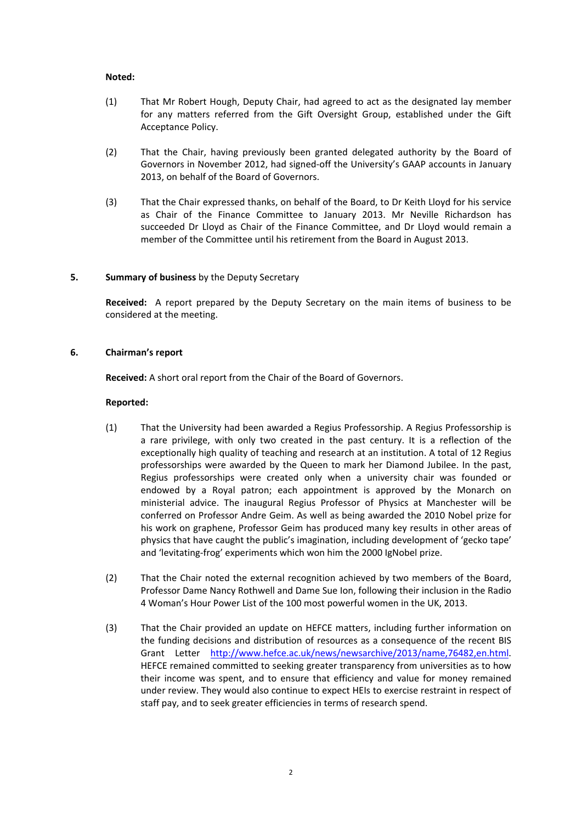#### **Noted:**

- (1) That Mr Robert Hough, Deputy Chair, had agreed to act as the designated lay member for any matters referred from the Gift Oversight Group, established under the Gift Acceptance Policy.
- (2) That the Chair, having previously been granted delegated authority by the Board of Governors in November 2012, had signed‐off the University's GAAP accounts in January 2013, on behalf of the Board of Governors.
- (3) That the Chair expressed thanks, on behalf of the Board, to Dr Keith Lloyd for his service as Chair of the Finance Committee to January 2013. Mr Neville Richardson has succeeded Dr Lloyd as Chair of the Finance Committee, and Dr Lloyd would remain a member of the Committee until his retirement from the Board in August 2013.

#### **5. Summary of business** by the Deputy Secretary

**Received:** A report prepared by the Deputy Secretary on the main items of business to be considered at the meeting.

#### **6. Chairman's report**

**Received:** A short oral report from the Chair of the Board of Governors.

#### **Reported:**

- (1) That the University had been awarded a Regius Professorship. A Regius Professorship is a rare privilege, with only two created in the past century. It is a reflection of the exceptionally high quality of teaching and research at an institution. A total of 12 Regius professorships were awarded by the Queen to mark her Diamond Jubilee. In the past, Regius professorships were created only when a university chair was founded or endowed by a Royal patron; each appointment is approved by the Monarch on ministerial advice. The inaugural Regius Professor of Physics at Manchester will be conferred on Professor Andre Geim. As well as being awarded the 2010 Nobel prize for his work on graphene, Professor Geim has produced many key results in other areas of physics that have caught the public's imagination, including development of 'gecko tape' and 'levitating‐frog' experiments which won him the 2000 IgNobel prize.
- (2) That the Chair noted the external recognition achieved by two members of the Board, Professor Dame Nancy Rothwell and Dame Sue Ion, following their inclusion in the Radio 4 Woman's Hour Power List of the 100 most powerful women in the UK, 2013.
- (3) That the Chair provided an update on HEFCE matters, including further information on the funding decisions and distribution of resources as a consequence of the recent BIS Grant Letter [http://www.hefce.ac.uk/news/newsarchive/2013/name,76482,en.html.](http://www.hefce.ac.uk/news/newsarchive/2013/name,76482,en.html) HEFCE remained committed to seeking greater transparency from universities as to how their income was spent, and to ensure that efficiency and value for money remained under review. They would also continue to expect HEIs to exercise restraint in respect of staff pay, and to seek greater efficiencies in terms of research spend.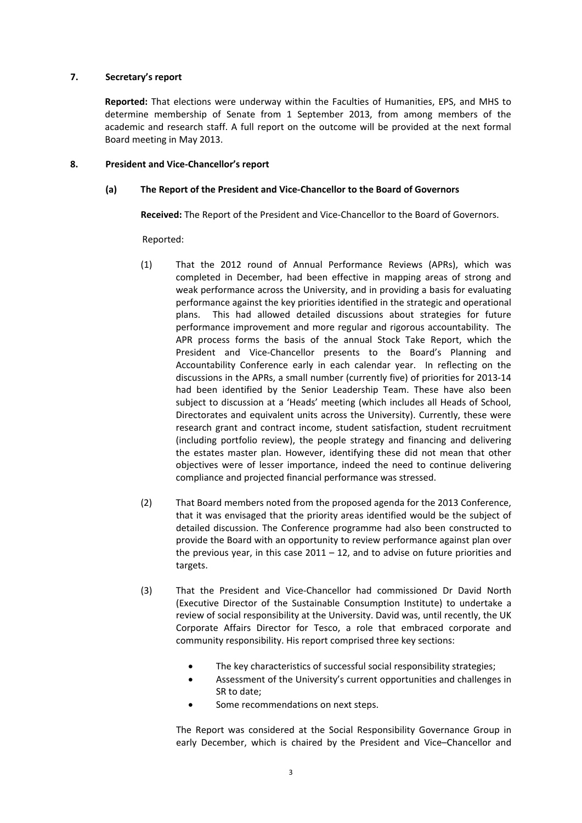#### **7. Secretary's report**

**Reported:** That elections were underway within the Faculties of Humanities, EPS, and MHS to determine membership of Senate from 1 September 2013, from among members of the academic and research staff. A full report on the outcome will be provided at the next formal Board meeting in May 2013.

#### **8. President and Vice‐Chancellor's report**

#### **(a) The Report of the President and Vice‐Chancellor to the Board of Governors**

**Received:** The Report of the President and Vice‐Chancellor to the Board of Governors.

Reported:

- (1) That the 2012 round of Annual Performance Reviews (APRs), which was completed in December, had been effective in mapping areas of strong and weak performance across the University, and in providing a basis for evaluating performance against the key priorities identified in the strategic and operational plans. This had allowed detailed discussions about strategies for future performance improvement and more regular and rigorous accountability. The APR process forms the basis of the annual Stock Take Report, which the President and Vice-Chancellor presents to the Board's Planning and Accountability Conference early in each calendar year. In reflecting on the discussions in the APRs, a small number (currently five) of priorities for 2013‐14 had been identified by the Senior Leadership Team. These have also been subject to discussion at a 'Heads' meeting (which includes all Heads of School, Directorates and equivalent units across the University). Currently, these were research grant and contract income, student satisfaction, student recruitment (including portfolio review), the people strategy and financing and delivering the estates master plan. However, identifying these did not mean that other objectives were of lesser importance, indeed the need to continue delivering compliance and projected financial performance was stressed.
- (2) That Board members noted from the proposed agenda for the 2013 Conference, that it was envisaged that the priority areas identified would be the subject of detailed discussion. The Conference programme had also been constructed to provide the Board with an opportunity to review performance against plan over the previous year, in this case  $2011 - 12$ , and to advise on future priorities and targets.
- (3) That the President and Vice‐Chancellor had commissioned Dr David North (Executive Director of the Sustainable Consumption Institute) to undertake a review of social responsibility at the University. David was, until recently, the UK Corporate Affairs Director for Tesco, a role that embraced corporate and community responsibility. His report comprised three key sections:
	- The key characteristics of successful social responsibility strategies;
	- Assessment of the University's current opportunities and challenges in SR to date;
	- Some recommendations on next steps.

The Report was considered at the Social Responsibility Governance Group in early December, which is chaired by the President and Vice–Chancellor and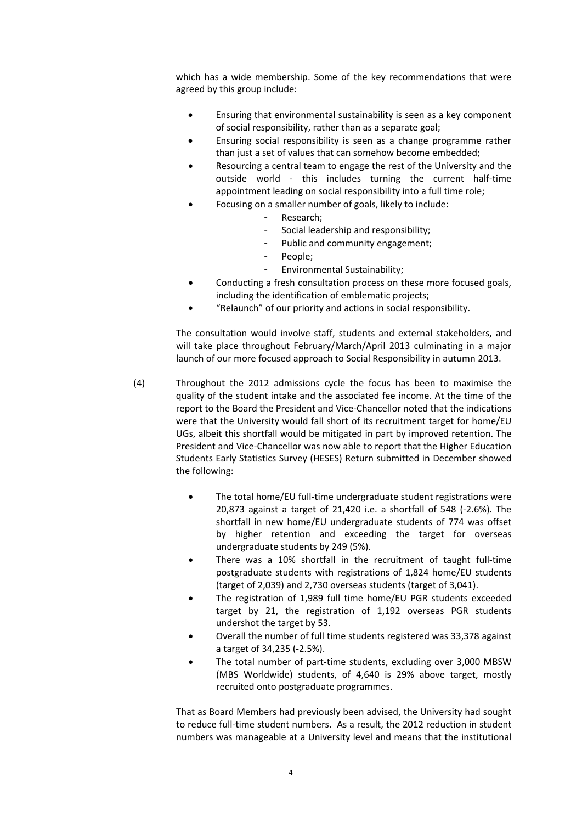which has a wide membership. Some of the key recommendations that were agreed by this group include:

- Ensuring that environmental sustainability is seen as a key component of social responsibility, rather than as a separate goal;
- Ensuring social responsibility is seen as a change programme rather than just a set of values that can somehow become embedded;
- Resourcing a central team to engage the rest of the University and the outside world - this includes turning the current half-time appointment leading on social responsibility into a full time role;
	- Focusing on a smaller number of goals, likely to include:
		- Research;
		- Social leadership and responsibility;
		- Public and community engagement;
		- People;
		- Environmental Sustainability;
- Conducting a fresh consultation process on these more focused goals, including the identification of emblematic projects;
- "Relaunch" of our priority and actions in social responsibility.

The consultation would involve staff, students and external stakeholders, and will take place throughout February/March/April 2013 culminating in a major launch of our more focused approach to Social Responsibility in autumn 2013.

- (4) Throughout the 2012 admissions cycle the focus has been to maximise the quality of the student intake and the associated fee income. At the time of the report to the Board the President and Vice‐Chancellor noted that the indications were that the University would fall short of its recruitment target for home/EU UGs, albeit this shortfall would be mitigated in part by improved retention. The President and Vice‐Chancellor was now able to report that the Higher Education Students Early Statistics Survey (HESES) Return submitted in December showed the following:
	- The total home/EU full-time undergraduate student registrations were 20,873 against a target of 21,420 i.e. a shortfall of 548 (‐2.6%). The shortfall in new home/EU undergraduate students of 774 was offset by higher retention and exceeding the target for overseas undergraduate students by 249 (5%).
	- There was a 10% shortfall in the recruitment of taught full-time postgraduate students with registrations of 1,824 home/EU students (target of 2,039) and 2,730 overseas students (target of 3,041).
	- The registration of 1,989 full time home/EU PGR students exceeded target by 21, the registration of 1,192 overseas PGR students undershot the target by 53.
	- Overall the number of full time students registered was 33,378 against a target of 34,235 (‐2.5%).
	- The total number of part-time students, excluding over 3,000 MBSW (MBS Worldwide) students, of 4,640 is 29% above target, mostly recruited onto postgraduate programmes.

That as Board Members had previously been advised, the University had sought to reduce full-time student numbers. As a result, the 2012 reduction in student numbers was manageable at a University level and means that the institutional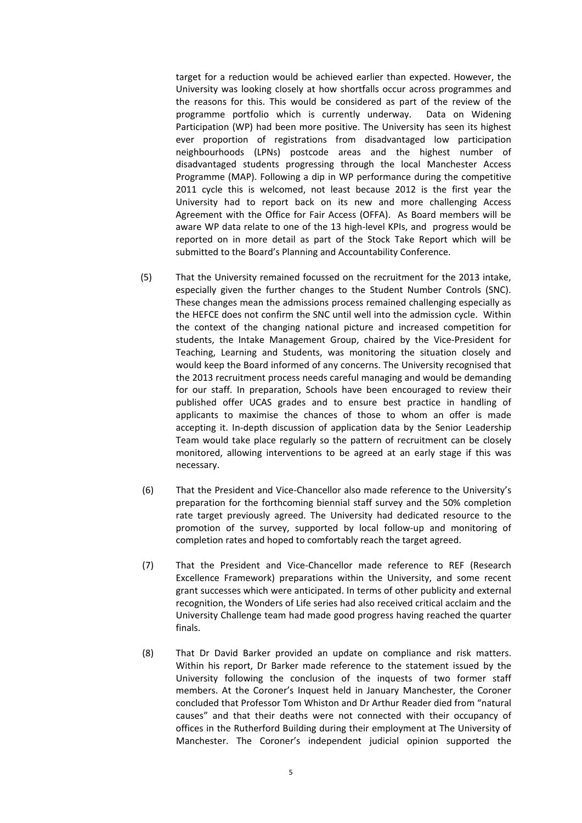target for a reduction would be achieved earlier than expected. However, the University was looking closely at how shortfalls occur across programmes and the reasons for this. This would be considered as part of the review of the programme portfolio which is currently underway. Data on Widening Participation (WP) had been more positive. The University has seen its highest ever proportion of registrations from disadvantaged low participation neighbourhoods (LPNs) postcode areas and the highest number of disadvantaged students progressing through the local Manchester Access Programme (MAP). Following a dip in WP performance during the competitive 2011 cycle this is welcomed, not least because 2012 is the first year the University had to report back on its new and more challenging Access Agreement with the Office for Fair Access (OFFA). As Board members will be aware WP data relate to one of the 13 high-level KPIs, and progress would be reported on in more detail as part of the Stock Take Report which will be submitted to the Board's Planning and Accountability Conference.

- (5) That the University remained focussed on the recruitment for the 2013 intake, especially given the further changes to the Student Number Controls (SNC). These changes mean the admissions process remained challenging especially as the HEFCE does not confirm the SNC until well into the admission cycle. Within the context of the changing national picture and increased competition for students, the Intake Management Group, chaired by the Vice‐President for Teaching, Learning and Students, was monitoring the situation closely and would keep the Board informed of any concerns. The University recognised that the 2013 recruitment process needs careful managing and would be demanding for our staff. In preparation, Schools have been encouraged to review their published offer UCAS grades and to ensure best practice in handling of applicants to maximise the chances of those to whom an offer is made accepting it. In‐depth discussion of application data by the Senior Leadership Team would take place regularly so the pattern of recruitment can be closely monitored, allowing interventions to be agreed at an early stage if this was necessary.
- (6) That the President and Vice‐Chancellor also made reference to the University's preparation for the forthcoming biennial staff survey and the 50% completion rate target previously agreed. The University had dedicated resource to the promotion of the survey, supported by local follow‐up and monitoring of completion rates and hoped to comfortably reach the target agreed.
- (7) That the President and Vice‐Chancellor made reference to REF (Research Excellence Framework) preparations within the University, and some recent grant successes which were anticipated. In terms of other publicity and external recognition, the Wonders of Life series had also received critical acclaim and the University Challenge team had made good progress having reached the quarter finals.
- (8) That Dr David Barker provided an update on compliance and risk matters. Within his report, Dr Barker made reference to the statement issued by the University following the conclusion of the inquests of two former staff members. At the Coroner's Inquest held in January Manchester, the Coroner concluded that Professor Tom Whiston and Dr Arthur Reader died from "natural causes" and that their deaths were not connected with their occupancy of offices in the Rutherford Building during their employment at The University of Manchester. The Coroner's independent judicial opinion supported the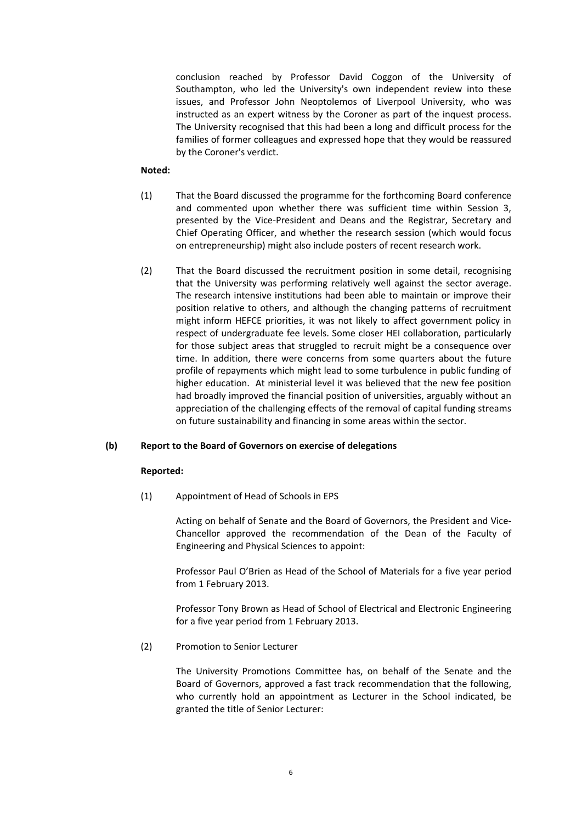conclusion reached by Professor David Coggon of the University of Southampton, who led the University's own independent review into these issues, and Professor John Neoptolemos of Liverpool University, who was instructed as an expert witness by the Coroner as part of the inquest process. The University recognised that this had been a long and difficult process for the families of former colleagues and expressed hope that they would be reassured by the Coroner's verdict.

#### **Noted:**

- (1) That the Board discussed the programme for the forthcoming Board conference and commented upon whether there was sufficient time within Session 3, presented by the Vice‐President and Deans and the Registrar, Secretary and Chief Operating Officer, and whether the research session (which would focus on entrepreneurship) might also include posters of recent research work.
- (2) That the Board discussed the recruitment position in some detail, recognising that the University was performing relatively well against the sector average. The research intensive institutions had been able to maintain or improve their position relative to others, and although the changing patterns of recruitment might inform HEFCE priorities, it was not likely to affect government policy in respect of undergraduate fee levels. Some closer HEI collaboration, particularly for those subject areas that struggled to recruit might be a consequence over time. In addition, there were concerns from some quarters about the future profile of repayments which might lead to some turbulence in public funding of higher education. At ministerial level it was believed that the new fee position had broadly improved the financial position of universities, arguably without an appreciation of the challenging effects of the removal of capital funding streams on future sustainability and financing in some areas within the sector.

#### **(b) Report to the Board of Governors on exercise of delegations**

#### **Reported:**

 (1) Appointment of Head of Schools in EPS

Acting on behalf of Senate and the Board of Governors, the President and Vice‐ Chancellor approved the recommendation of the Dean of the Faculty of Engineering and Physical Sciences to appoint:

Professor Paul O'Brien as Head of the School of Materials for a five year period from 1 February 2013.

Professor Tony Brown as Head of School of Electrical and Electronic Engineering for a five year period from 1 February 2013.

(2) Promotion to Senior Lecturer

The University Promotions Committee has, on behalf of the Senate and the Board of Governors, approved a fast track recommendation that the following, who currently hold an appointment as Lecturer in the School indicated, be granted the title of Senior Lecturer: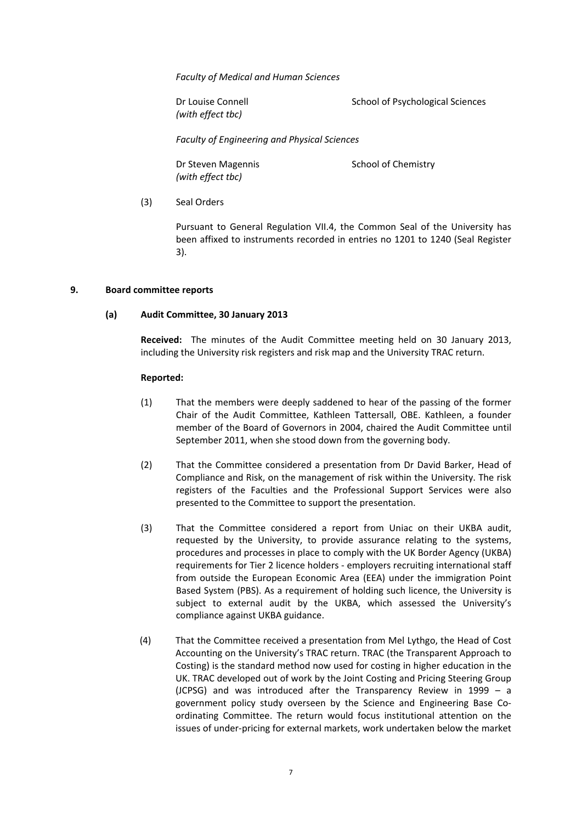*Faculty of Medical and Human Sciences*

*(with effect tbc)*

Dr Louise Connell **Dr Louise Connell** School of Psychological Sciences

*Faculty of Engineering and Physical Sciences*

*(with effect tbc)*

Dr Steven Magennis School of Chemistry

 (3) Seal Orders

Pursuant to General Regulation VII.4, the Common Seal of the University has been affixed to instruments recorded in entries no 1201 to 1240 (Seal Register 3).

#### **9. Board committee reports**

#### **(a) Audit Committee, 30 January 2013**

**Received:** The minutes of the Audit Committee meeting held on 30 January 2013, including the University risk registers and risk map and the University TRAC return.

#### **Reported:**

- (1) That the members were deeply saddened to hear of the passing of the former Chair of the Audit Committee, Kathleen Tattersall, OBE. Kathleen, a founder member of the Board of Governors in 2004, chaired the Audit Committee until September 2011, when she stood down from the governing body.
- (2) That the Committee considered a presentation from Dr David Barker, Head of Compliance and Risk, on the management of risk within the University. The risk registers of the Faculties and the Professional Support Services were also presented to the Committee to support the presentation.
- (3) That the Committee considered a report from Uniac on their UKBA audit, requested by the University, to provide assurance relating to the systems, procedures and processes in place to comply with the UK Border Agency (UKBA) requirements for Tier 2 licence holders ‐ employers recruiting international staff from outside the European Economic Area (EEA) under the immigration Point Based System (PBS). As a requirement of holding such licence, the University is subject to external audit by the UKBA, which assessed the University's compliance against UKBA guidance.
- (4) That the Committee received a presentation from Mel Lythgo, the Head of Cost Accounting on the University's TRAC return. TRAC (the Transparent Approach to Costing) is the standard method now used for costing in higher education in the UK. TRAC developed out of work by the Joint Costing and Pricing Steering Group (JCPSG) and was introduced after the Transparency Review in 1999 – a government policy study overseen by the Science and Engineering Base Co‐ ordinating Committee. The return would focus institutional attention on the issues of under‐pricing for external markets, work undertaken below the market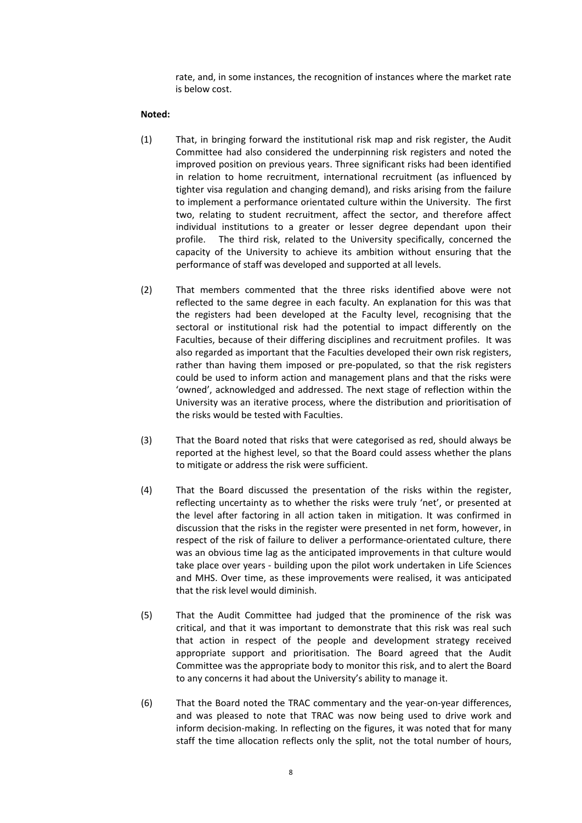rate, and, in some instances, the recognition of instances where the market rate is below cost.

#### **Noted:**

- (1) That, in bringing forward the institutional risk map and risk register, the Audit Committee had also considered the underpinning risk registers and noted the improved position on previous years. Three significant risks had been identified in relation to home recruitment, international recruitment (as influenced by tighter visa regulation and changing demand), and risks arising from the failure to implement a performance orientated culture within the University. The first two, relating to student recruitment, affect the sector, and therefore affect individual institutions to a greater or lesser degree dependant upon their profile. The third risk, related to the University specifically, concerned the capacity of the University to achieve its ambition without ensuring that the performance of staff was developed and supported at all levels.
- (2) That members commented that the three risks identified above were not reflected to the same degree in each faculty. An explanation for this was that the registers had been developed at the Faculty level, recognising that the sectoral or institutional risk had the potential to impact differently on the Faculties, because of their differing disciplines and recruitment profiles. It was also regarded as important that the Faculties developed their own risk registers, rather than having them imposed or pre-populated, so that the risk registers could be used to inform action and management plans and that the risks were 'owned', acknowledged and addressed. The next stage of reflection within the University was an iterative process, where the distribution and prioritisation of the risks would be tested with Faculties.
- (3) That the Board noted that risks that were categorised as red, should always be reported at the highest level, so that the Board could assess whether the plans to mitigate or address the risk were sufficient.
- (4) That the Board discussed the presentation of the risks within the register, reflecting uncertainty as to whether the risks were truly 'net', or presented at the level after factoring in all action taken in mitigation. It was confirmed in discussion that the risks in the register were presented in net form, however, in respect of the risk of failure to deliver a performance-orientated culture, there was an obvious time lag as the anticipated improvements in that culture would take place over years ‐ building upon the pilot work undertaken in Life Sciences and MHS. Over time, as these improvements were realised, it was anticipated that the risk level would diminish.
- (5) That the Audit Committee had judged that the prominence of the risk was critical, and that it was important to demonstrate that this risk was real such that action in respect of the people and development strategy received appropriate support and prioritisation. The Board agreed that the Audit Committee was the appropriate body to monitor this risk, and to alert the Board to any concerns it had about the University's ability to manage it.
- (6) That the Board noted the TRAC commentary and the year‐on‐year differences, and was pleased to note that TRAC was now being used to drive work and inform decision‐making. In reflecting on the figures, it was noted that for many staff the time allocation reflects only the split, not the total number of hours,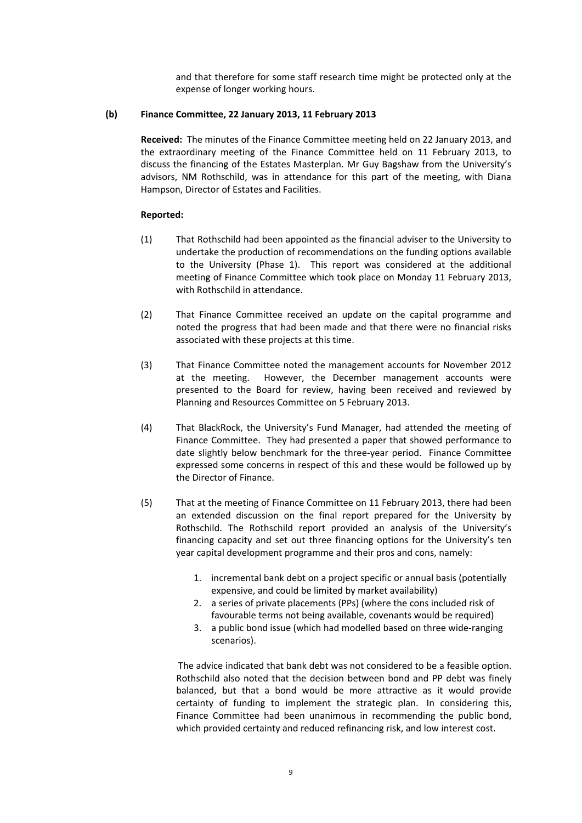and that therefore for some staff research time might be protected only at the expense of longer working hours.

#### **(b) Finance Committee, 22 January 2013, 11 February 2013**

**Received:** The minutes of the Finance Committee meeting held on 22 January 2013, and the extraordinary meeting of the Finance Committee held on 11 February 2013, to discuss the financing of the Estates Masterplan. Mr Guy Bagshaw from the University's advisors, NM Rothschild, was in attendance for this part of the meeting, with Diana Hampson, Director of Estates and Facilities.

#### **Reported:**

- (1) That Rothschild had been appointed as the financial adviser to the University to undertake the production of recommendations on the funding options available to the University (Phase 1). This report was considered at the additional meeting of Finance Committee which took place on Monday 11 February 2013, with Rothschild in attendance.
- (2) That Finance Committee received an update on the capital programme and noted the progress that had been made and that there were no financial risks associated with these projects at this time.
- (3) That Finance Committee noted the management accounts for November 2012 at the meeting. However, the December management accounts were presented to the Board for review, having been received and reviewed by Planning and Resources Committee on 5 February 2013.
- (4) That BlackRock, the University's Fund Manager, had attended the meeting of Finance Committee. They had presented a paper that showed performance to date slightly below benchmark for the three-year period. Finance Committee expressed some concerns in respect of this and these would be followed up by the Director of Finance.
- (5) That at the meeting of Finance Committee on 11 February 2013, there had been an extended discussion on the final report prepared for the University by Rothschild. The Rothschild report provided an analysis of the University's financing capacity and set out three financing options for the University's ten year capital development programme and their pros and cons, namely:
	- 1. incremental bank debt on a project specific or annual basis (potentially expensive, and could be limited by market availability)
	- 2. a series of private placements (PPs) (where the cons included risk of favourable terms not being available, covenants would be required)
	- 3. a public bond issue (which had modelled based on three wide‐ranging scenarios).

 The advice indicated that bank debt was not considered to be a feasible option. Rothschild also noted that the decision between bond and PP debt was finely balanced, but that a bond would be more attractive as it would provide certainty of funding to implement the strategic plan. In considering this, Finance Committee had been unanimous in recommending the public bond, which provided certainty and reduced refinancing risk, and low interest cost.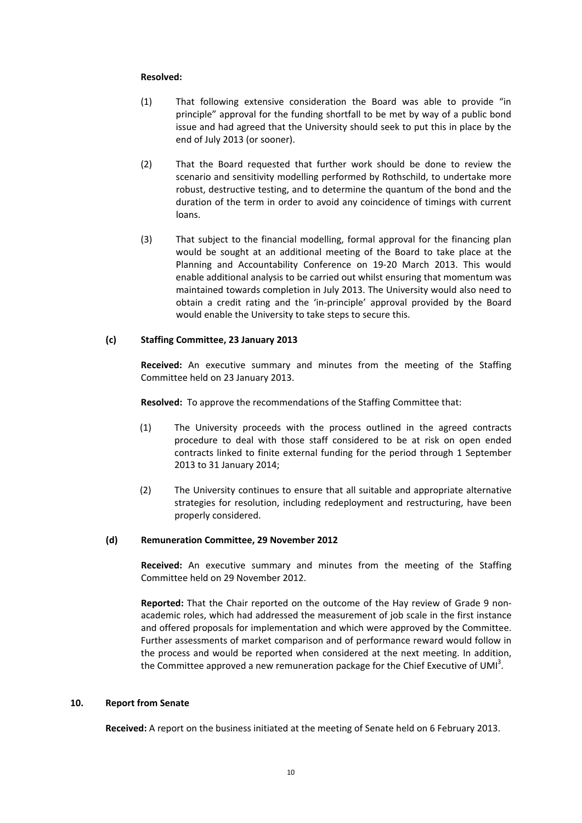#### **Resolved:**

- (1) That following extensive consideration the Board was able to provide "in principle" approval for the funding shortfall to be met by way of a public bond issue and had agreed that the University should seek to put this in place by the end of July 2013 (or sooner).
- (2) That the Board requested that further work should be done to review the scenario and sensitivity modelling performed by Rothschild, to undertake more robust, destructive testing, and to determine the quantum of the bond and the duration of the term in order to avoid any coincidence of timings with current loans.
- (3) That subject to the financial modelling, formal approval for the financing plan would be sought at an additional meeting of the Board to take place at the Planning and Accountability Conference on 19‐20 March 2013. This would enable additional analysis to be carried out whilst ensuring that momentum was maintained towards completion in July 2013. The University would also need to obtain a credit rating and the 'in‐principle' approval provided by the Board would enable the University to take steps to secure this.

#### **(c) Staffing Committee, 23 January 2013**

**Received:** An executive summary and minutes from the meeting of the Staffing Committee held on 23 January 2013.

**Resolved:** To approve the recommendations of the Staffing Committee that:

- (1) The University proceeds with the process outlined in the agreed contracts procedure to deal with those staff considered to be at risk on open ended contracts linked to finite external funding for the period through 1 September 2013 to 31 January 2014;
- (2) The University continues to ensure that all suitable and appropriate alternative strategies for resolution, including redeployment and restructuring, have been properly considered.

#### **(d) Remuneration Committee, 29 November 2012**

**Received:** An executive summary and minutes from the meeting of the Staffing Committee held on 29 November 2012.

**Reported:** That the Chair reported on the outcome of the Hay review of Grade 9 non‐ academic roles, which had addressed the measurement of job scale in the first instance and offered proposals for implementation and which were approved by the Committee. Further assessments of market comparison and of performance reward would follow in the process and would be reported when considered at the next meeting. In addition, the Committee approved a new remuneration package for the Chief Executive of UMI<sup>3</sup>.

#### **10. Report from Senate**

**Received:** A report on the business initiated at the meeting of Senate held on 6 February 2013.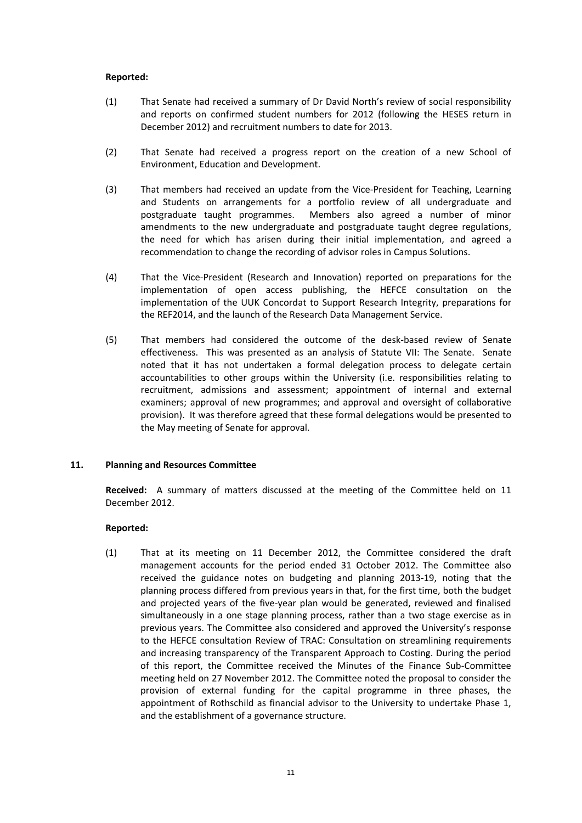#### **Reported:**

- (1) That Senate had received a summary of Dr David North's review of social responsibility and reports on confirmed student numbers for 2012 (following the HESES return in December 2012) and recruitment numbers to date for 2013.
- (2) That Senate had received a progress report on the creation of a new School of Environment, Education and Development.
- (3) That members had received an update from the Vice‐President for Teaching, Learning and Students on arrangements for a portfolio review of all undergraduate and postgraduate taught programmes. Members also agreed a number of minor amendments to the new undergraduate and postgraduate taught degree regulations, the need for which has arisen during their initial implementation, and agreed a recommendation to change the recording of advisor roles in Campus Solutions.
- (4) That the Vice‐President (Research and Innovation) reported on preparations for the implementation of open access publishing, the HEFCE consultation on the implementation of the UUK Concordat to Support Research Integrity, preparations for the REF2014, and the launch of the Research Data Management Service.
- (5) That members had considered the outcome of the desk‐based review of Senate effectiveness. This was presented as an analysis of Statute VII: The Senate. Senate noted that it has not undertaken a formal delegation process to delegate certain accountabilities to other groups within the University (i.e. responsibilities relating to recruitment, admissions and assessment; appointment of internal and external examiners; approval of new programmes; and approval and oversight of collaborative provision). It was therefore agreed that these formal delegations would be presented to the May meeting of Senate for approval.

#### **11. Planning and Resources Committee**

**Received:** A summary of matters discussed at the meeting of the Committee held on 11 December 2012.

#### **Reported:**

(1) That at its meeting on 11 December 2012, the Committee considered the draft management accounts for the period ended 31 October 2012. The Committee also received the guidance notes on budgeting and planning 2013‐19, noting that the planning process differed from previous years in that, for the first time, both the budget and projected years of the five‐year plan would be generated, reviewed and finalised simultaneously in a one stage planning process, rather than a two stage exercise as in previous years. The Committee also considered and approved the University's response to the HEFCE consultation Review of TRAC: Consultation on streamlining requirements and increasing transparency of the Transparent Approach to Costing. During the period of this report, the Committee received the Minutes of the Finance Sub‐Committee meeting held on 27 November 2012. The Committee noted the proposal to consider the provision of external funding for the capital programme in three phases, the appointment of Rothschild as financial advisor to the University to undertake Phase 1, and the establishment of a governance structure.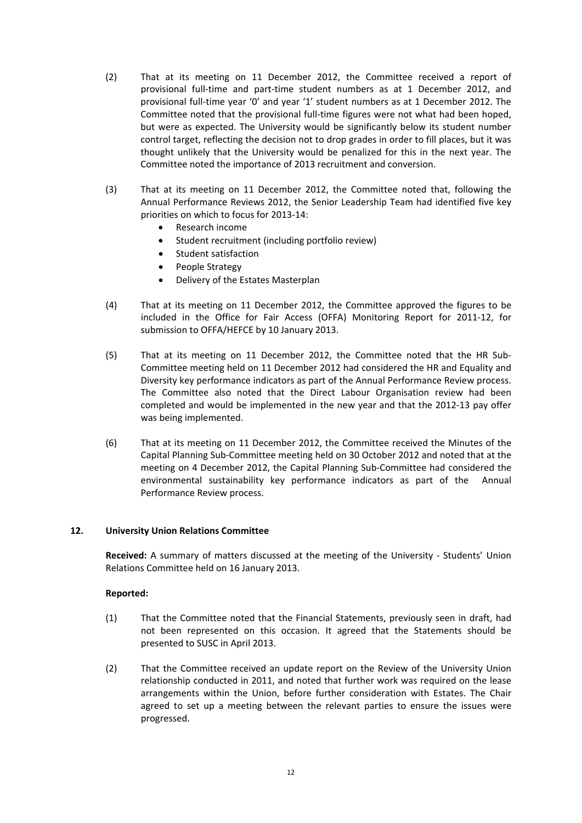- (2) That at its meeting on 11 December 2012, the Committee received a report of provisional full‐time and part‐time student numbers as at 1 December 2012, and provisional full‐time year '0' and year '1' student numbers as at 1 December 2012. The Committee noted that the provisional full-time figures were not what had been hoped, but were as expected. The University would be significantly below its student number control target, reflecting the decision not to drop grades in order to fill places, but it was thought unlikely that the University would be penalized for this in the next year. The Committee noted the importance of 2013 recruitment and conversion.
- (3) That at its meeting on 11 December 2012, the Committee noted that, following the Annual Performance Reviews 2012, the Senior Leadership Team had identified five key priorities on which to focus for 2013‐14:
	- Research income
	- Student recruitment (including portfolio review)
	- Student satisfaction
	- People Strategy
	- Delivery of the Estates Masterplan
- (4) That at its meeting on 11 December 2012, the Committee approved the figures to be included in the Office for Fair Access (OFFA) Monitoring Report for 2011‐12, for submission to OFFA/HEFCE by 10 January 2013.
- (5) That at its meeting on 11 December 2012, the Committee noted that the HR Sub‐ Committee meeting held on 11 December 2012 had considered the HR and Equality and Diversity key performance indicators as part of the Annual Performance Review process. The Committee also noted that the Direct Labour Organisation review had been completed and would be implemented in the new year and that the 2012‐13 pay offer was being implemented.
- (6) That at its meeting on 11 December 2012, the Committee received the Minutes of the Capital Planning Sub‐Committee meeting held on 30 October 2012 and noted that at the meeting on 4 December 2012, the Capital Planning Sub‐Committee had considered the environmental sustainability key performance indicators as part of the Annual Performance Review process.

#### **12. University Union Relations Committee**

**Received:** A summary of matters discussed at the meeting of the University - Students' Union Relations Committee held on 16 January 2013.

#### **Reported:**

- (1) That the Committee noted that the Financial Statements, previously seen in draft, had not been represented on this occasion. It agreed that the Statements should be presented to SUSC in April 2013.
- (2) That the Committee received an update report on the Review of the University Union relationship conducted in 2011, and noted that further work was required on the lease arrangements within the Union, before further consideration with Estates. The Chair agreed to set up a meeting between the relevant parties to ensure the issues were progressed.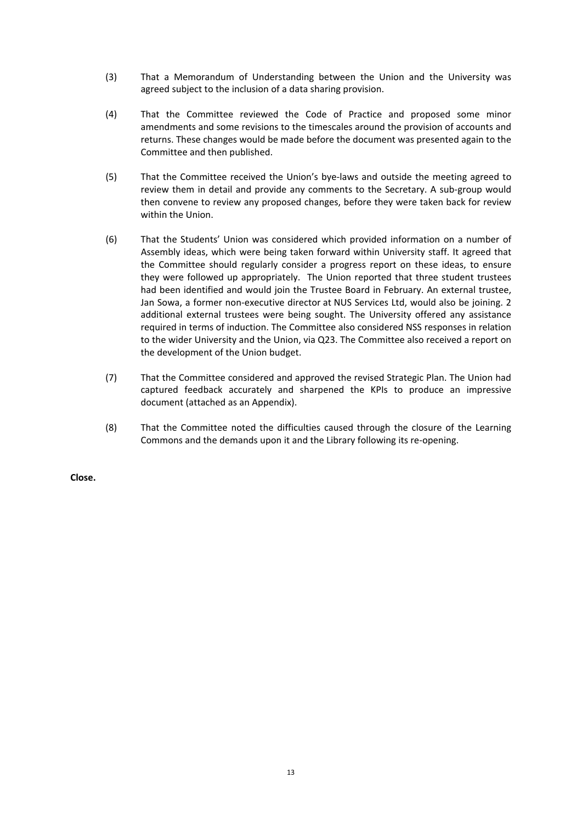- (3) That a Memorandum of Understanding between the Union and the University was agreed subject to the inclusion of a data sharing provision.
- (4) That the Committee reviewed the Code of Practice and proposed some minor amendments and some revisions to the timescales around the provision of accounts and returns. These changes would be made before the document was presented again to the Committee and then published.
- (5) That the Committee received the Union's bye‐laws and outside the meeting agreed to review them in detail and provide any comments to the Secretary. A sub-group would then convene to review any proposed changes, before they were taken back for review within the Union.
- (6) That the Students' Union was considered which provided information on a number of Assembly ideas, which were being taken forward within University staff. It agreed that the Committee should regularly consider a progress report on these ideas, to ensure they were followed up appropriately. The Union reported that three student trustees had been identified and would join the Trustee Board in February. An external trustee, Jan Sowa, a former non-executive director at NUS Services Ltd, would also be joining. 2 additional external trustees were being sought. The University offered any assistance required in terms of induction. The Committee also considered NSS responses in relation to the wider University and the Union, via Q23. The Committee also received a report on the development of the Union budget.
- (7) That the Committee considered and approved the revised Strategic Plan. The Union had captured feedback accurately and sharpened the KPIs to produce an impressive document (attached as an Appendix).
- (8) That the Committee noted the difficulties caused through the closure of the Learning Commons and the demands upon it and the Library following its re‐opening.

**Close.**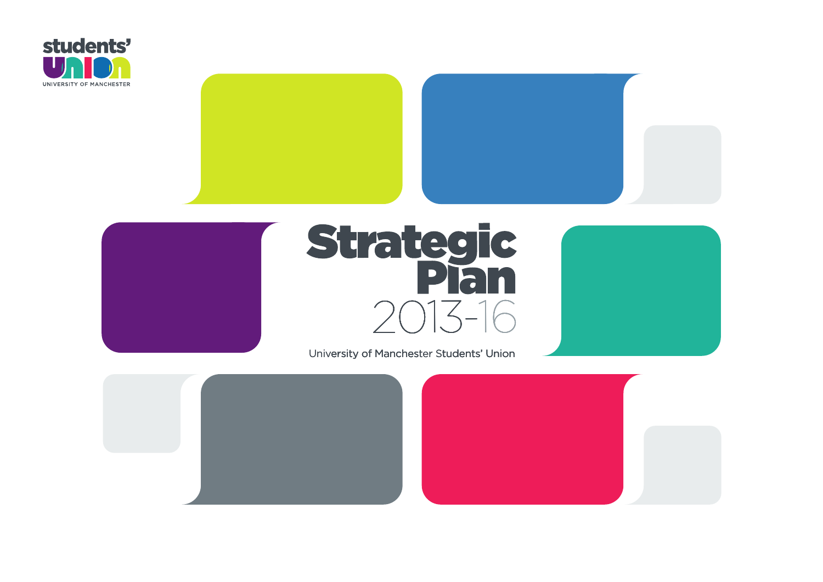





# **Strategic<br>Plan**  $2013 - 16$ <br>Manchester Students' Union  $2013-16$ <br>University of Manchester Students' Union





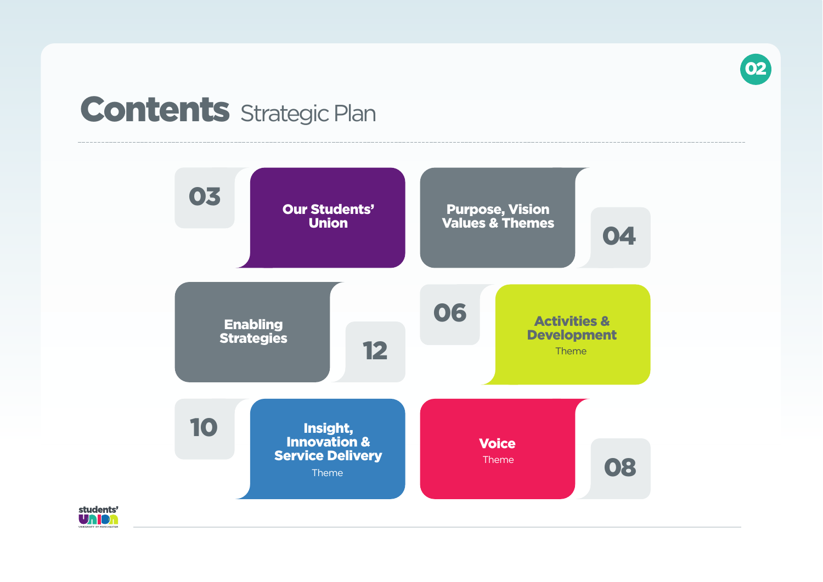

# **Contents** Strategic Plan

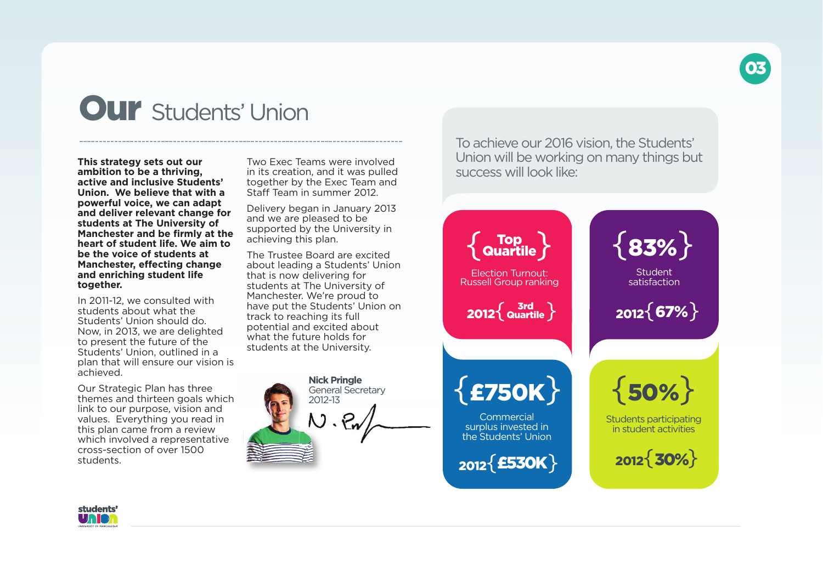

# **Our** Students' Union

**This strategy sets out our ambition to be a thriving, active and inclusive Students' Union. We believe that with a powerful voice, we can adapt and deliver relevant change for students at The University of Manchester and be firmly at the heart of student life. We aim to be the voice of students at Manchester, effecting change and enriching student life together.**

In 2011-12, we consulted with students about what the Students' Union should do. Now, in 2013, we are delighted to present the future of the Students' Union, outlined in a plan that will ensure our vision is achieved.

Our Strategic Plan has three themes and thirteen goals which link to our purpose, vision and values. Everything you read in this plan came from a review which involved a representative cross-section of over 1500 students.

Two Exec Teams were involved in its creation, and it was pulled together by the Exec Team and Staff Team in summer 2012.

Delivery began in January 2013 and we are pleased to be supported by the University in achieving this plan.

The Trustee Board are excited about leading a Students' Union that is now delivering for students at The University of Manchester. We're proud to have put the Students' Union on track to reaching its full potential and excited about what the future holds for students at the University.



To achieve our 2016 vision, the Students' Union will be working on many things but success will look like:



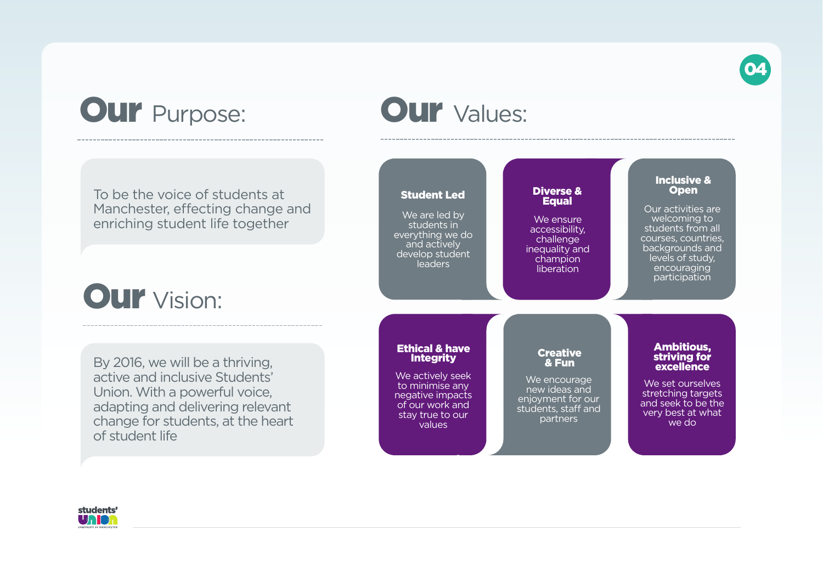

# **Our** Purpose:

# **Our** Values:

**<sup>2012</sup>**{**???**}

To be the voice of students at Manchester, effecting change and enriching student life together

# **Our** Vision:

By 2016, we will be a thriving, active and inclusive Students' Union. With a powerful voice, adapting and delivering relevant change for students, at the heart of student life



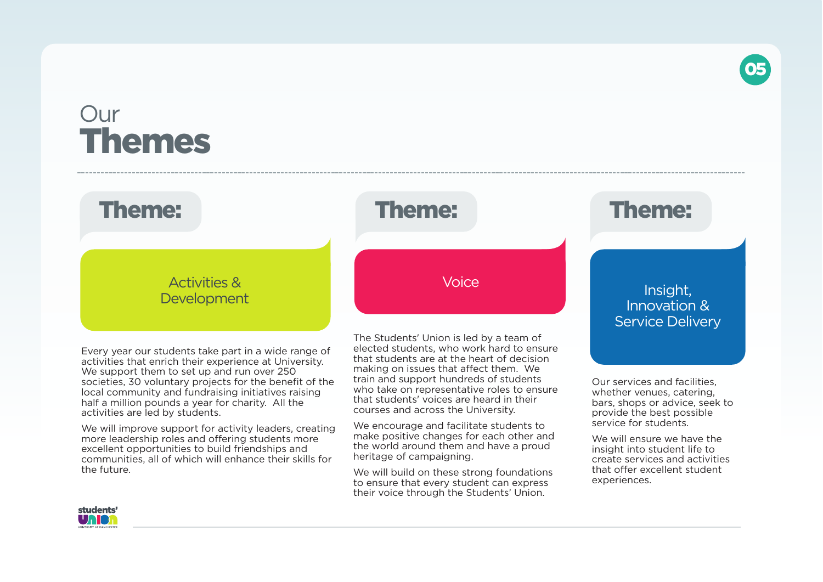# **Our Themes**

# Activities & **Development**

Every year our students take part in a wide range of activities that enrich their experience at University. We support them to set up and run over 250 societies, 30 voluntary projects for the benefit of the local community and fundraising initiatives raising half a million pounds a year for charity. All the activities are led by students.

We will improve support for activity leaders, creating more leadership roles and offering students more excellent opportunities to build friendships and communities, all of which will enhance their skills for the future.

The Students' Union is led by a team of elected students, who work hard to ensure that students are at the heart of decision making on issues that affect them. We train and support hundreds of students who take on representative roles to ensure that students' voices are heard in their courses and across the University.

We encourage and facilitate students to make positive changes for each other and the world around them and have a proud heritage of campaigning.

We will build on these strong foundations to ensure that every student can express their voice through the Students' Union.

# **Theme: Theme: Theme:**

**05**

# Voice **Insight,** Innovation & Service Delivery

Our services and facilities, whether venues, catering, bars, shops or advice, seek to provide the best possible service for students.

We will ensure we have the insight into student life to create services and activities that offer excellent student experiences.

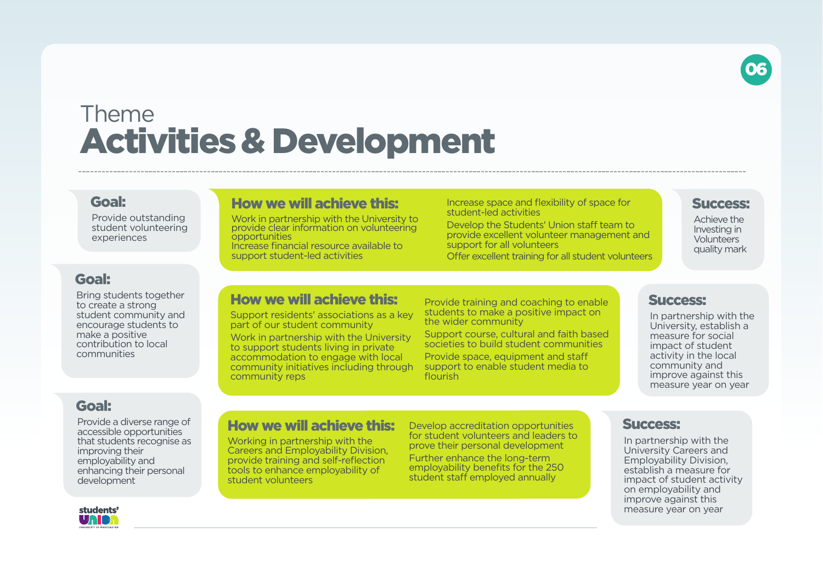

# Theme **Activities& Development**

# **Goal:**

Provide outstanding student volunteering experiences

### **Goal:**

Bring students together to create a strong student community and encourage students to make a positive contribution to local communities

# Work in partnership with the University to

provide clear information on volunteering opportunities Increase financial resource available to support student-led activities

**How we will achieve this:**

Increase space and flexibility of space for student-led activities

Develop the Students' Union staff team to provide excellent volunteer management and support for all volunteers Offer excellent training for all student volunteers

#### **Success:**

Achieve the Investing in **Volunteers** quality mark

# **How we will achieve this:**

Support residents' associations as a key part of our student community

Work in partnership with the University to support students living in private accommodation to engage with local community initiatives including through community reps

Provide training and coaching to enable students to make a positive impact on the wider community

Support course, cultural and faith based societies to build student communities Provide space, equipment and staff support to enable student media to flourish

### **Success:**

In partnership with the University, establish a measure for social impact of student activity in the local community and improve against this measure year on year

# **Goal:**

Provide a diverse range of accessible opportunities that students recognise as improving their employability and enhancing their personal development



# **How we will achieve this:**

Working in partnership with the Careers and Employability Division, provide training and self-reflection tools to enhance employability of student volunteers

Develop accreditation opportunities for student volunteers and leaders to prove their personal development

Further enhance the long-term employability benefits for the 250 student staff employed annually

### **Success:**

In partnership with the University Careers and Employability Division, establish a measure for impact of student activity on employability and improve against this measure year on year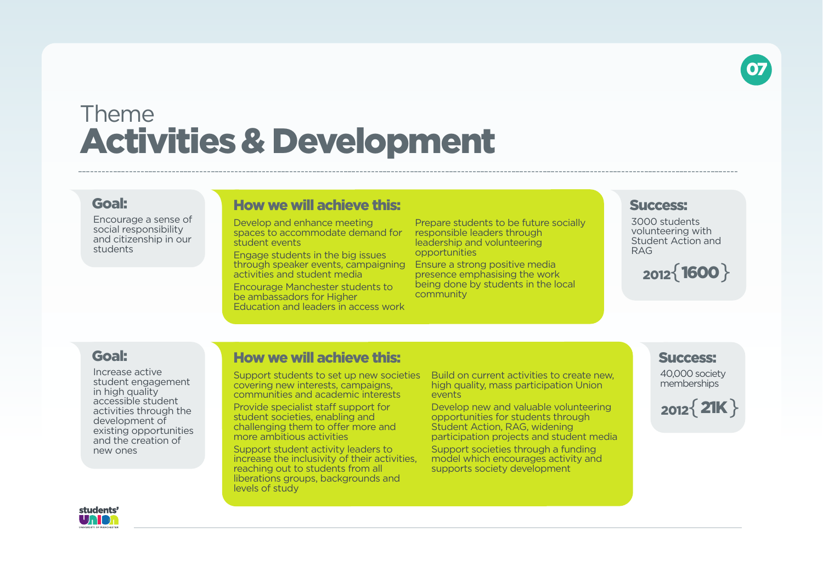

# Theme **Activities& Development**

# **Goal:**

Encourage a sense of social responsibility and citizenship in our students

### **How we will achieve this:**

Develop and enhance meeting spaces to accommodate demand for student events

Engage students in the big issues through speaker events, campaigning activities and student media

Encourage Manchester students to be ambassadors for Higher Education and leaders in access work

Prepare students to be future socially responsible leaders through leadership and volunteering opportunities

Ensure a strong positive media presence emphasising the work being done by students in the local community

#### **Success:**

3000 students volunteering with Student Action and RAG

# **<sup>2012</sup>**{ } **1600**

### **Goal:**

Increase active student engagement in high quality accessible student activities through the development of existing opportunities and the creation of new ones

# **How we will achieve this:**

Support students to set up new societies covering new interests, campaigns, communities and academic interests

Provide specialist staff support for student societies, enabling and challenging them to offer more and more ambitious activities

Support student activity leaders to increase the inclusivity of their activities, reaching out to students from all liberations groups, backgrounds and levels of study

Build on current activities to create new, high quality, mass participation Union events

Develop new and valuable volunteering opportunities for students through Student Action, RAG, widening participation projects and student media

Support societies through a funding model which encourages activity and supports society development

### **Success:**

40,000 society memberships



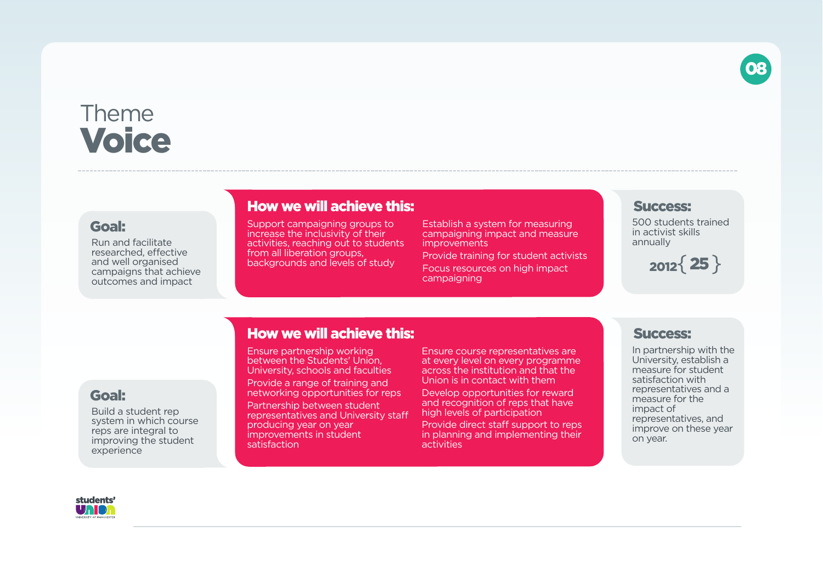

# Theme **Voice**

### **Goal:**

Run and facilitate researched, effective and well organised campaigns that achieve outcomes and impact

# **How we will achieve this:**

Support campaigning groups to increase the inclusivity of their activities, reaching out to students from all liberation groups. backgrounds and levels of study

Establish a system for measuring campaigning impact and measure improvements

Provide training for student activists Focus resources on high impact campaigning

#### **Success:**

500 students trained in activist skills annually

 $2012$ {  $25$  }

# **Goal:**

Build a student rep system in which course reps are integral to improving the student experience

# **How we will achieve this:**

Ensure partnership working between the Students' Union, University, schools and faculties Provide a range of training and networking opportunities for reps Partnership between student representatives and University staff producing year on year improvements in student satisfaction

Ensure course representatives are at every level on every programme across the institution and that the Union is in contact with them

Develop opportunities for reward and recognition of reps that have high levels of participation

Provide direct staff support to reps in planning and implementing their activities

# **Success:**

In partnership with the University, establish a measure for student satisfaction with representatives and a measure for the impact of representatives, and improve on these year on year.

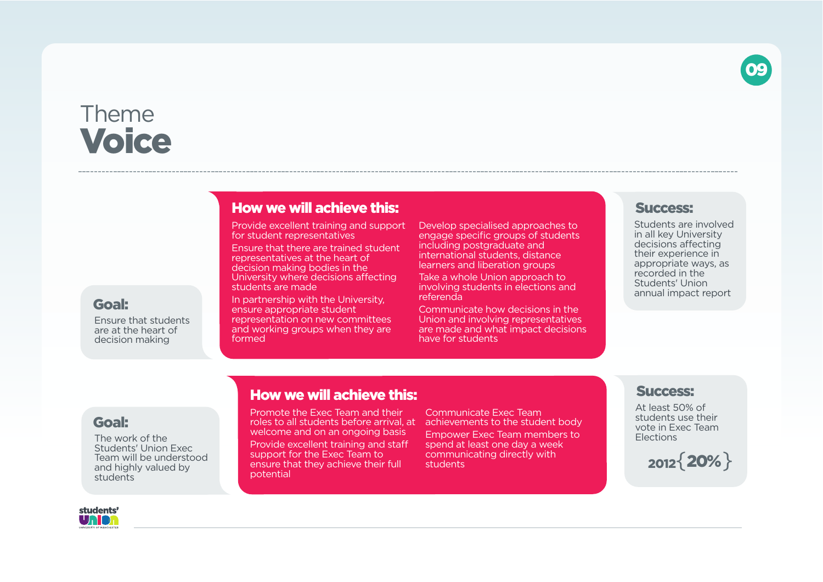

# **How we will achieve this:**

Provide excellent training and support for student representatives

Ensure that there are trained student representatives at the heart of decision making bodies in the University where decisions affecting students are made

In partnership with the University, ensure appropriate student representation on new committees and working groups when they are formed

Develop specialised approaches to engage specific groups of students including postgraduate and international students, distance learners and liberation groups

Take a whole Union approach to involving students in elections and referenda

Communicate how decisions in the Union and involving representatives are made and what impact decisions have for students

#### **Success:**

Students are involved in all key University decisions affecting their experience in appropriate ways, as recorded in the Students' Union annual impact report

**09**

# **Goal:**

**Goal:**

students

The work of the Students' Union Exec Team will be understood and highly valued by

Ensure that students are at the heart of decision making

# **How we will achieve this:**

Promote the Exec Team and their roles to all students before arrival, at achievements to the student body welcome and on an ongoing basis Provide excellent training and staff support for the Exec Team to ensure that they achieve their full potential

Communicate Exec Team

Empower Exec Team members to spend at least one day a week communicating directly with students

#### **Success:**

At least 50% of students use their vote in Exec Team **Elections** 

**<sup>2012</sup>**{ } **20%**

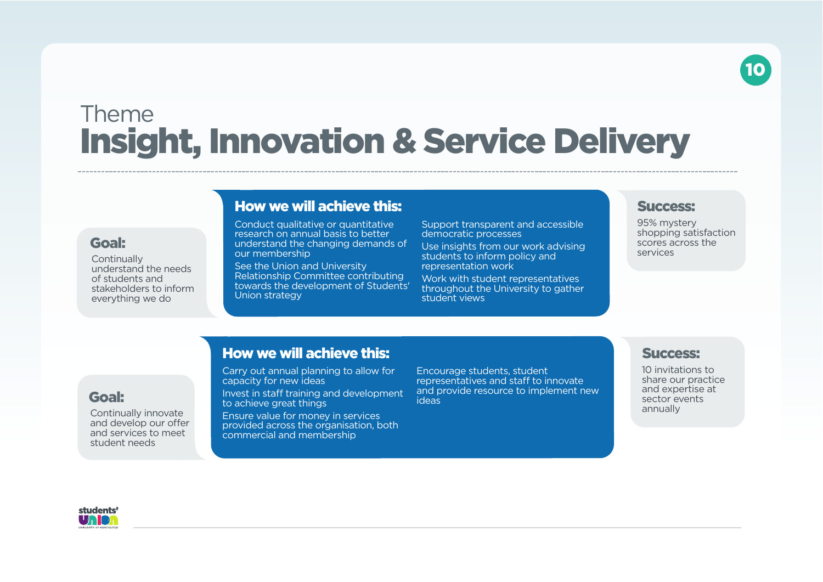# **10**

# Theme **Insight, Innovation & Service Delivery**

### **Goal:**

**Continually** understand the needs of students and everything we do

Continually innovate and develop our offer and services to meet student needs

# **How we will achieve this:**

Conduct qualitative or quantitative research on annual basis to better understand the changing demands of our membership

See the Union and University Relationship Committee contributing towards the development of Students' Union strategy Support transparent and accessible democratic processes

Use insights from our work advising students to inform policy and representation work

Work with student representatives throughout the University to gather student views

#### **Success:**

95% mystery shopping satisfaction scores across the services

stakeholders to inform

# **How we will achieve this:**

Carry out annual planning to allow for capacity for new ideas

Invest in staff training and development to achieve great things

Ensure value for money in services provided across the organisation, both commercial and membership

Encourage students, student representatives and staff to innovate and provide resource to implement new ideas

#### **Success:**

10 invitations to share our practice and expertise at sector events annually



**Goal:**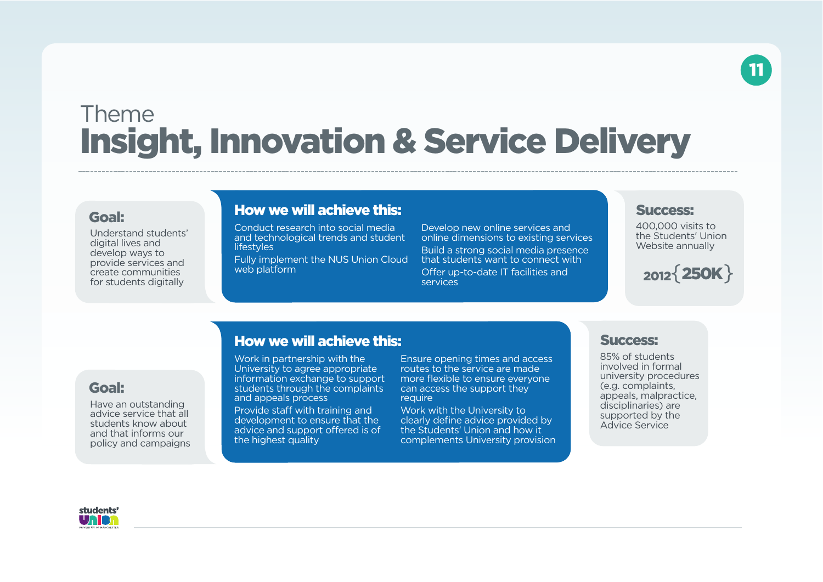# Theme **Insight, Innovation & Service Delivery**

#### **Goal:**

Understand students' digital lives and develop ways to provide services and create communities for students digitally

# **How we will achieve this:**

Conduct research into social media and technological trends and student **lifestyles** 

Fully implement the NUS Union Cloud web platform

Develop new online services and online dimensions to existing services Build a strong social media presence that students want to connect with Offer up-to-date IT facilities and services

#### **Success:**

400,000 visits to the Students' Union Website annually

**11**

# **<sup>2012</sup>**{ } **250K**

### **Goal:**

Have an outstanding advice service that all students know about and that informs our policy and campaigns

### **How we will achieve this:**

Work in partnership with the University to agree appropriate information exchange to support students through the complaints and appeals process

e rightst quality and support for all support for all support for all student volume  $\alpha$ Provide staff with training and development to ensure that the advice and support offered is of the highest quality

volunteers.

Ensure opening times and access routes to the service are made more flexible to ensure everyone can access the support they require

Work with the University to clearly define advice provided by the Students' Union and how it complements University provision

### **Success:**

85% of students involved in formal university procedures (e.g. complaints, appeals, malpractice, disciplinaries) are supported by the Advice Service

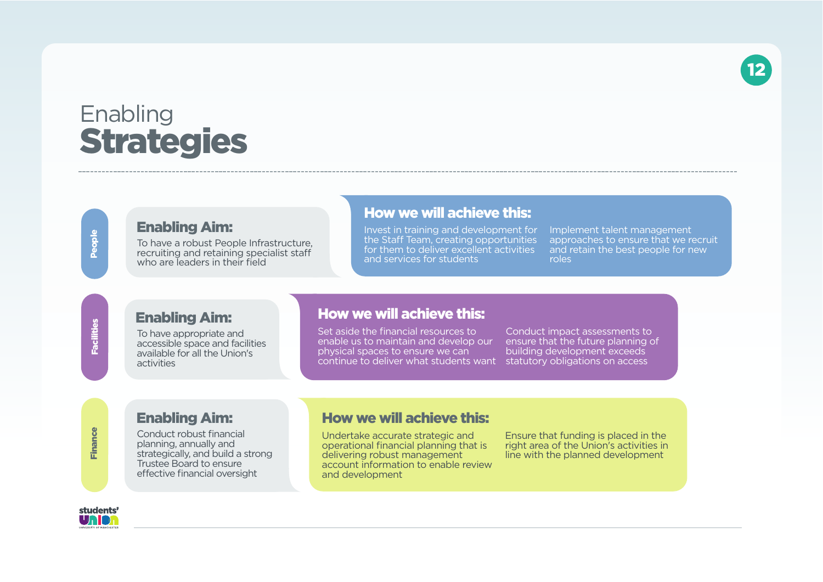**12**

# **Enabling Strategies**

**Pe o ple**

# **Enabling Aim:**

To have a robust People Infrastructure, recruiting and retaining specialist staff who are leaders in their field

# **How we will achieve this:**

Invest in training and development for the Staff Team, creating opportunities for them to deliver excellent activities and services for students

Implement talent management approaches to ensure that we recruit and retain the best people for new roles

**Fa cilities**

### **Enabling Aim:**

To have appropriate and accessible space and facilities available for all the Union's activities

# **How we will achieve this:**

Set aside the financial resources to enable us to maintain and develop our physical spaces to ensure we can continue to deliver what students want statutory obligations on access

Conduct impact assessments to ensure that the future planning of building development exceeds

### **Enabling Aim:**

Conduct robust financial planning, annually and strategically, and build a strong Trustee Board to ensure effective financial oversight

### **How we will achieve this:**

Undertake accurate strategic and operational financial planning that is delivering robust management account information to enable review and development

Ensure that funding is placed in the right area of the Union's activities in line with the planned development



**Fin a n ce**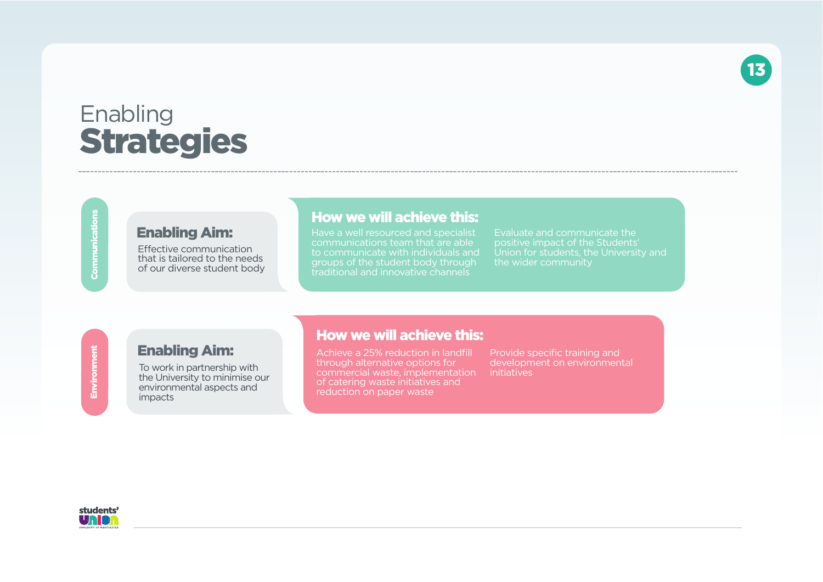# Enabling **Strategies**

**Co m m u nicatio ns**

**Enviro n m**

**e nt**

# **Enabling Aim:**

Effective communication that is tailored to the needs of our diverse student body

# **How we will achieve this:**

Have a well resourced and specialist communications team that are able to communicate with individuals and groups of the student body through traditional and innovative channels

Evaluate and communicate the positive impact of the Students' Union for students, the University and the wider community

**13**

# **Enabling Aim:**

To work in partnership with the University to minimise our environmental aspects and impacts

### **How we will achieve this:**

Achieve a 25% reduction in landfill through alternative options for commercial waste, implementation of catering waste initiatives and reduction on paper waste

Provide specific training and development on environmental initiatives